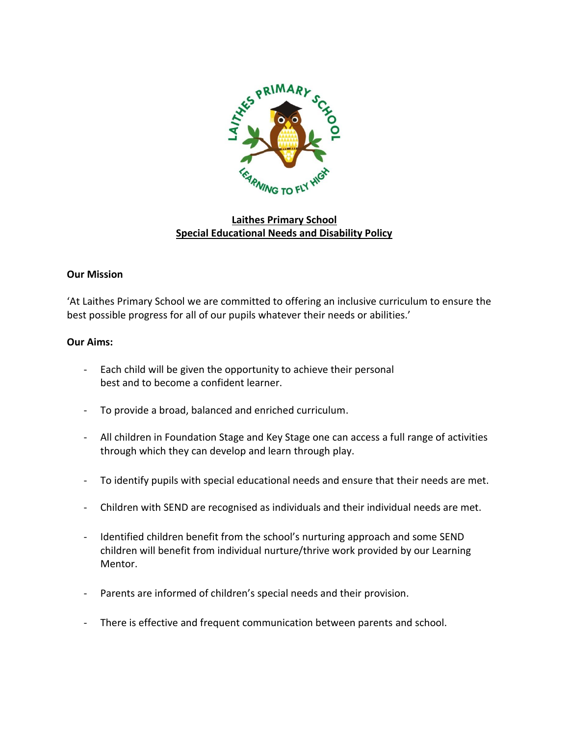

# **Laithes Primary School Special Educational Needs and Disability Policy**

#### **Our Mission**

'At Laithes Primary School we are committed to offering an inclusive curriculum to ensure the best possible progress for all of our pupils whatever their needs or abilities.'

#### **Our Aims:**

- Each child will be given the opportunity to achieve their personal best and to become a confident learner.
- To provide a broad, balanced and enriched curriculum.
- All children in Foundation Stage and Key Stage one can access a full range of activities through which they can develop and learn through play.
- To identify pupils with special educational needs and ensure that their needs are met.
- Children with SEND are recognised as individuals and their individual needs are met.
- Identified children benefit from the school's nurturing approach and some SEND children will benefit from individual nurture/thrive work provided by our Learning Mentor.
- Parents are informed of children's special needs and their provision.
- There is effective and frequent communication between parents and school.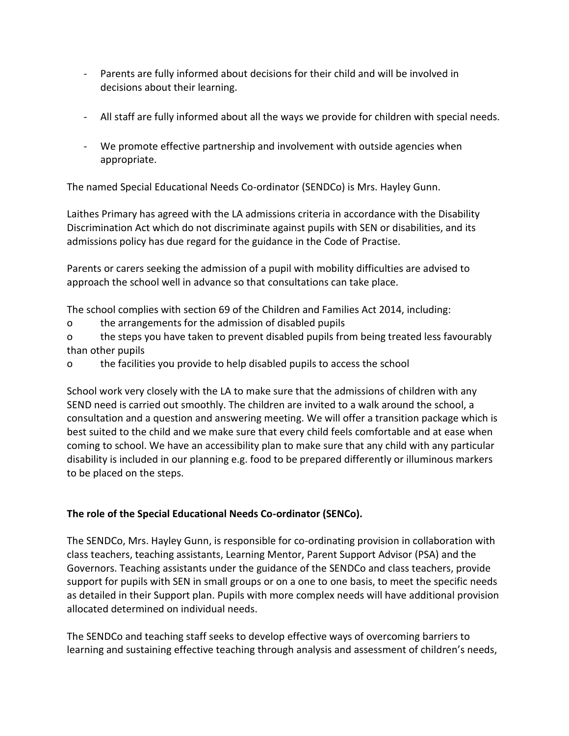- Parents are fully informed about decisions for their child and will be involved in decisions about their learning.
- All staff are fully informed about all the ways we provide for children with special needs.
- We promote effective partnership and involvement with outside agencies when appropriate.

The named Special Educational Needs Co-ordinator (SENDCo) is Mrs. Hayley Gunn.

Laithes Primary has agreed with the LA admissions criteria in accordance with the Disability Discrimination Act which do not discriminate against pupils with SEN or disabilities, and its admissions policy has due regard for the guidance in the Code of Practise.

Parents or carers seeking the admission of a pupil with mobility difficulties are advised to approach the school well in advance so that consultations can take place.

The school complies with section 69 of the Children and Families Act 2014, including:

o the arrangements for the admission of disabled pupils

o the steps you have taken to prevent disabled pupils from being treated less favourably than other pupils

o the facilities you provide to help disabled pupils to access the school

School work very closely with the LA to make sure that the admissions of children with any SEND need is carried out smoothly. The children are invited to a walk around the school, a consultation and a question and answering meeting. We will offer a transition package which is best suited to the child and we make sure that every child feels comfortable and at ease when coming to school. We have an accessibility plan to make sure that any child with any particular disability is included in our planning e.g. food to be prepared differently or illuminous markers to be placed on the steps.

# **The role of the Special Educational Needs Co-ordinator (SENCo).**

The SENDCo, Mrs. Hayley Gunn, is responsible for co-ordinating provision in collaboration with class teachers, teaching assistants, Learning Mentor, Parent Support Advisor (PSA) and the Governors. Teaching assistants under the guidance of the SENDCo and class teachers, provide support for pupils with SEN in small groups or on a one to one basis, to meet the specific needs as detailed in their Support plan. Pupils with more complex needs will have additional provision allocated determined on individual needs.

The SENDCo and teaching staff seeks to develop effective ways of overcoming barriers to learning and sustaining effective teaching through analysis and assessment of children's needs,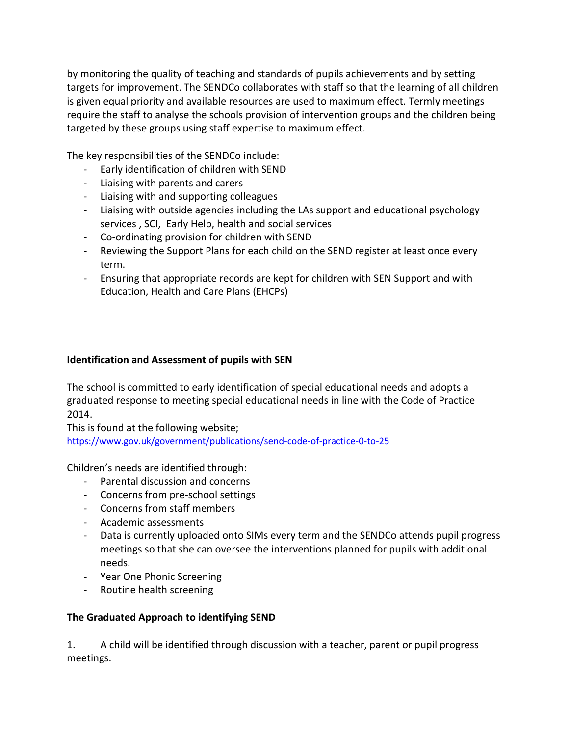by monitoring the quality of teaching and standards of pupils achievements and by setting targets for improvement. The SENDCo collaborates with staff so that the learning of all children is given equal priority and available resources are used to maximum effect. Termly meetings require the staff to analyse the schools provision of intervention groups and the children being targeted by these groups using staff expertise to maximum effect.

The key responsibilities of the SENDCo include:

- Early identification of children with SEND
- Liaising with parents and carers
- Liaising with and supporting colleagues
- Liaising with outside agencies including the LAs support and educational psychology services , SCI, Early Help, health and social services
- Co-ordinating provision for children with SEND
- Reviewing the Support Plans for each child on the SEND register at least once every term.
- Ensuring that appropriate records are kept for children with SEN Support and with Education, Health and Care Plans (EHCPs)

## **Identification and Assessment of pupils with SEN**

The school is committed to early identification of special educational needs and adopts a graduated response to meeting special educational needs in line with the Code of Practice 2014.

This is found at the following website; <https://www.gov.uk/government/publications/send-code-of-practice-0-to-25>

Children's needs are identified through:

- Parental discussion and concerns
- Concerns from pre-school settings
- Concerns from staff members
- Academic assessments
- Data is currently uploaded onto SIMs every term and the SENDCo attends pupil progress meetings so that she can oversee the interventions planned for pupils with additional needs.
- Year One Phonic Screening
- Routine health screening

## **The Graduated Approach to identifying SEND**

1. A child will be identified through discussion with a teacher, parent or pupil progress meetings.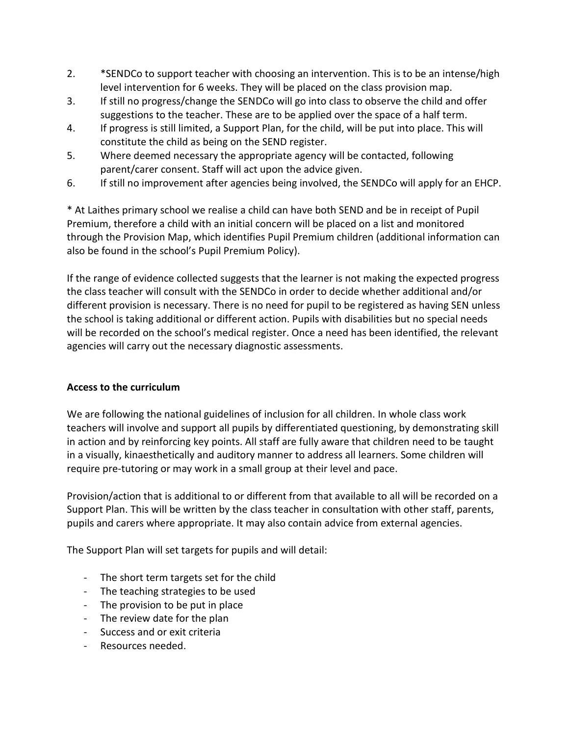- 2. \*SENDCo to support teacher with choosing an intervention. This is to be an intense/high level intervention for 6 weeks. They will be placed on the class provision map.
- 3. If still no progress/change the SENDCo will go into class to observe the child and offer suggestions to the teacher. These are to be applied over the space of a half term.
- 4. If progress is still limited, a Support Plan, for the child, will be put into place. This will constitute the child as being on the SEND register.
- 5. Where deemed necessary the appropriate agency will be contacted, following parent/carer consent. Staff will act upon the advice given.
- 6. If still no improvement after agencies being involved, the SENDCo will apply for an EHCP.

\* At Laithes primary school we realise a child can have both SEND and be in receipt of Pupil Premium, therefore a child with an initial concern will be placed on a list and monitored through the Provision Map, which identifies Pupil Premium children (additional information can also be found in the school's Pupil Premium Policy).

If the range of evidence collected suggests that the learner is not making the expected progress the class teacher will consult with the SENDCo in order to decide whether additional and/or different provision is necessary. There is no need for pupil to be registered as having SEN unless the school is taking additional or different action. Pupils with disabilities but no special needs will be recorded on the school's medical register. Once a need has been identified, the relevant agencies will carry out the necessary diagnostic assessments.

## **Access to the curriculum**

We are following the national guidelines of inclusion for all children. In whole class work teachers will involve and support all pupils by differentiated questioning, by demonstrating skill in action and by reinforcing key points. All staff are fully aware that children need to be taught in a visually, kinaesthetically and auditory manner to address all learners. Some children will require pre-tutoring or may work in a small group at their level and pace.

Provision/action that is additional to or different from that available to all will be recorded on a Support Plan. This will be written by the class teacher in consultation with other staff, parents, pupils and carers where appropriate. It may also contain advice from external agencies.

The Support Plan will set targets for pupils and will detail:

- The short term targets set for the child
- The teaching strategies to be used
- The provision to be put in place
- The review date for the plan
- Success and or exit criteria
- Resources needed.